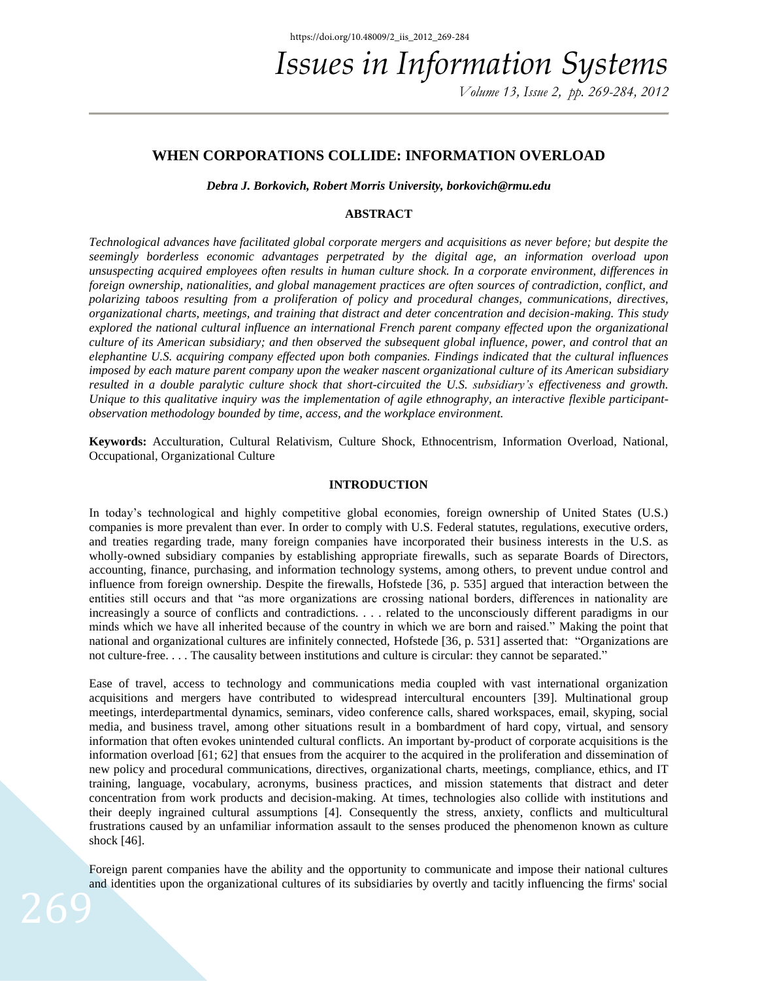*Volume 13, Issue 2, pp. 269-284, 2012* 

# **WHEN CORPORATIONS COLLIDE: INFORMATION OVERLOAD**

*Debra J. Borkovich, Robert Morris University, [borkovich@rmu.edu](mailto:borkovich@rmu.edu)*

### **ABSTRACT**

*Technological advances have facilitated global corporate mergers and acquisitions as never before; but despite the seemingly borderless economic advantages perpetrated by the digital age, an information overload upon unsuspecting acquired employees often results in human culture shock. In a corporate environment, differences in foreign ownership, nationalities, and global management practices are often sources of contradiction, conflict, and polarizing taboos resulting from a proliferation of policy and procedural changes, communications, directives, organizational charts, meetings, and training that distract and deter concentration and decision-making. This study explored the national cultural influence an international French parent company effected upon the organizational culture of its American subsidiary; and then observed the subsequent global influence, power, and control that an elephantine U.S. acquiring company effected upon both companies. Findings indicated that the cultural influences imposed by each mature parent company upon the weaker nascent organizational culture of its American subsidiary resulted in a double paralytic culture shock that short-circuited the U.S. subsidiary's effectiveness and growth. Unique to this qualitative inquiry was the implementation of agile ethnography, an interactive flexible participantobservation methodology bounded by time, access, and the workplace environment.* 

**Keywords:** Acculturation, Cultural Relativism, Culture Shock, Ethnocentrism, Information Overload, National, Occupational, Organizational Culture

## **INTRODUCTION**

In today's technological and highly competitive global economies, foreign ownership of United States (U.S.) companies is more prevalent than ever. In order to comply with U.S. Federal statutes, regulations, executive orders, and treaties regarding trade, many foreign companies have incorporated their business interests in the U.S. as wholly-owned subsidiary companies by establishing appropriate firewalls, such as separate Boards of Directors, accounting, finance, purchasing, and information technology systems, among others, to prevent undue control and influence from foreign ownership. Despite the firewalls, Hofstede [36, p. 535] argued that interaction between the entities still occurs and that "as more organizations are crossing national borders, differences in nationality are increasingly a source of conflicts and contradictions. . . . related to the unconsciously different paradigms in our minds which we have all inherited because of the country in which we are born and raised." Making the point that national and organizational cultures are infinitely connected, Hofstede [36, p. 531] asserted that: "Organizations are not culture-free. . . . The causality between institutions and culture is circular: they cannot be separated."

Ease of travel, access to technology and communications media coupled with vast international organization acquisitions and mergers have contributed to widespread intercultural encounters [39]. Multinational group meetings, interdepartmental dynamics, seminars, video conference calls, shared workspaces, email, skyping, social media, and business travel, among other situations result in a bombardment of hard copy, virtual, and sensory information that often evokes unintended cultural conflicts. An important by-product of corporate acquisitions is the information overload [61; 62] that ensues from the acquirer to the acquired in the proliferation and dissemination of new policy and procedural communications, directives, organizational charts, meetings, compliance, ethics, and IT training, language, vocabulary, acronyms, business practices, and mission statements that distract and deter concentration from work products and decision-making. At times, technologies also collide with institutions and their deeply ingrained cultural assumptions [4]. Consequently the stress, anxiety, conflicts and multicultural frustrations caused by an unfamiliar information assault to the senses produced the phenomenon known as culture shock [46].

Foreign parent companies have the ability and the opportunity to communicate and impose their national cultures and identities upon the organizational cultures of its subsidiaries by overtly and tacitly influencing the firms' social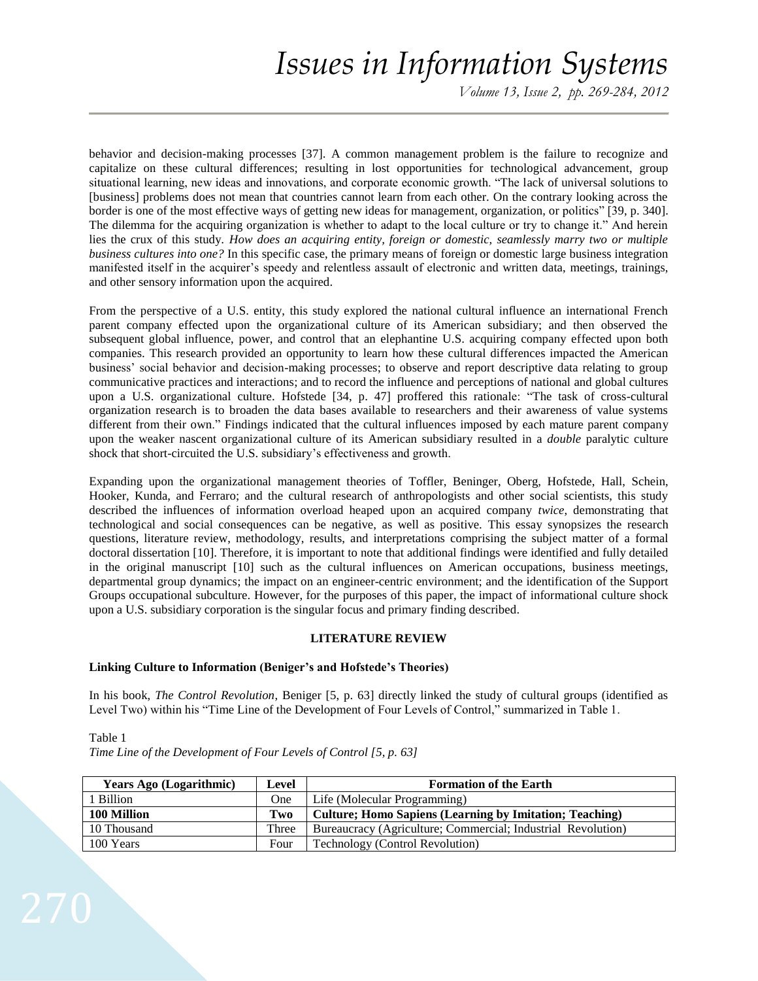*Volume 13, Issue 2, pp. 269-284, 2012*

behavior and decision-making processes [37]. A common management problem is the failure to recognize and capitalize on these cultural differences; resulting in lost opportunities for technological advancement, group situational learning, new ideas and innovations, and corporate economic growth. "The lack of universal solutions to [business] problems does not mean that countries cannot learn from each other. On the contrary looking across the border is one of the most effective ways of getting new ideas for management, organization, or politics" [39, p. 340]. The dilemma for the acquiring organization is whether to adapt to the local culture or try to change it." And herein lies the crux of this study. *How does an acquiring entity, foreign or domestic, seamlessly marry two or multiple business cultures into one?* In this specific case, the primary means of foreign or domestic large business integration manifested itself in the acquirer's speedy and relentless assault of electronic and written data, meetings, trainings, and other sensory information upon the acquired.

From the perspective of a U.S. entity, this study explored the national cultural influence an international French parent company effected upon the organizational culture of its American subsidiary; and then observed the subsequent global influence, power, and control that an elephantine U.S. acquiring company effected upon both companies. This research provided an opportunity to learn how these cultural differences impacted the American business' social behavior and decision-making processes; to observe and report descriptive data relating to group communicative practices and interactions; and to record the influence and perceptions of national and global cultures upon a U.S. organizational culture. Hofstede [34, p. 47] proffered this rationale: "The task of cross-cultural organization research is to broaden the data bases available to researchers and their awareness of value systems different from their own." Findings indicated that the cultural influences imposed by each mature parent company upon the weaker nascent organizational culture of its American subsidiary resulted in a *double* paralytic culture shock that short-circuited the U.S. subsidiary's effectiveness and growth.

Expanding upon the organizational management theories of Toffler, Beninger, Oberg, Hofstede, Hall, Schein, Hooker, Kunda, and Ferraro; and the cultural research of anthropologists and other social scientists, this study described the influences of information overload heaped upon an acquired company *twice*, demonstrating that technological and social consequences can be negative, as well as positive. This essay synopsizes the research questions, literature review, methodology, results, and interpretations comprising the subject matter of a formal doctoral dissertation [10]. Therefore, it is important to note that additional findings were identified and fully detailed in the original manuscript [10] such as the cultural influences on American occupations, business meetings, departmental group dynamics; the impact on an engineer-centric environment; and the identification of the Support Groups occupational subculture. However, for the purposes of this paper, the impact of informational culture shock upon a U.S. subsidiary corporation is the singular focus and primary finding described.

# **LITERATURE REVIEW**

### **Linking Culture to Information (Beniger's and Hofstede's Theories)**

In his book, *The Control Revolution*, Beniger [5, p. 63] directly linked the study of cultural groups (identified as Level Two) within his "Time Line of the Development of Four Levels of Control," summarized in Table 1.

| <b>Years Ago (Logarithmic)</b> | Level | <b>Formation of the Earth</b>                                  |
|--------------------------------|-------|----------------------------------------------------------------|
| 1 Billion                      | One   | Life (Molecular Programming)                                   |
| 100 Million                    | Two   | <b>Culture; Homo Sapiens (Learning by Imitation; Teaching)</b> |
| 10 Thousand                    | Three | Bureaucracy (Agriculture; Commercial; Industrial Revolution)   |
| 100 Years                      | Four  | Technology (Control Revolution)                                |

Table 1 *Time Line of the Development of Four Levels of Control [5, p. 63]*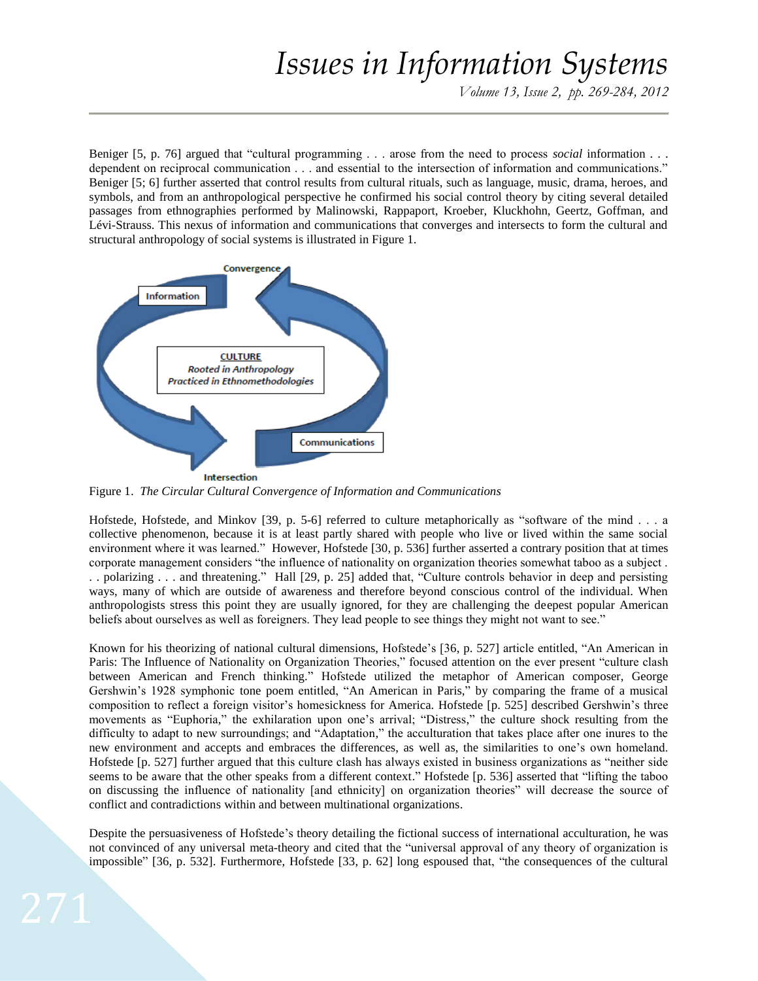*Volume 13, Issue 2, pp. 269-284, 2012*

Beniger [5, p. 76] argued that "cultural programming . . . arose from the need to process *social* information . . . dependent on reciprocal communication . . . and essential to the intersection of information and communications." Beniger [5; 6] further asserted that control results from cultural rituals, such as language, music, drama, heroes, and symbols, and from an anthropological perspective he confirmed his social control theory by citing several detailed passages from ethnographies performed by Malinowski, Rappaport, Kroeber, Kluckhohn, Geertz, Goffman, and Lévi-Strauss. This nexus of information and communications that converges and intersects to form the cultural and structural anthropology of social systems is illustrated in Figure 1.



Figure 1. *The Circular Cultural Convergence of Information and Communications*

Hofstede, Hofstede, and Minkov [39, p. 5-6] referred to culture metaphorically as "software of the mind . . . a collective phenomenon, because it is at least partly shared with people who live or lived within the same social environment where it was learned." However, Hofstede [30, p. 536] further asserted a contrary position that at times corporate management considers "the influence of nationality on organization theories somewhat taboo as a subject . . . polarizing . . . and threatening." Hall [29, p. 25] added that, "Culture controls behavior in deep and persisting ways, many of which are outside of awareness and therefore beyond conscious control of the individual. When anthropologists stress this point they are usually ignored, for they are challenging the deepest popular American beliefs about ourselves as well as foreigners. They lead people to see things they might not want to see."

Known for his theorizing of national cultural dimensions, Hofstede's [36, p. 527] article entitled, "An American in Paris: The Influence of Nationality on Organization Theories," focused attention on the ever present "culture clash between American and French thinking." Hofstede utilized the metaphor of American composer, George Gershwin's 1928 symphonic tone poem entitled, "An American in Paris," by comparing the frame of a musical composition to reflect a foreign visitor's homesickness for America. Hofstede [p. 525] described Gershwin's three movements as "Euphoria," the exhilaration upon one's arrival; "Distress," the culture shock resulting from the difficulty to adapt to new surroundings; and "Adaptation," the acculturation that takes place after one inures to the new environment and accepts and embraces the differences, as well as, the similarities to one's own homeland. Hofstede [p. 527] further argued that this culture clash has always existed in business organizations as "neither side seems to be aware that the other speaks from a different context." Hofstede [p. 536] asserted that "lifting the taboo on discussing the influence of nationality [and ethnicity] on organization theories" will decrease the source of conflict and contradictions within and between multinational organizations.

Despite the persuasiveness of Hofstede's theory detailing the fictional success of international acculturation, he was not convinced of any universal meta-theory and cited that the "universal approval of any theory of organization is impossible" [36, p. 532]. Furthermore, Hofstede [33, p. 62] long espoused that, "the consequences of the cultural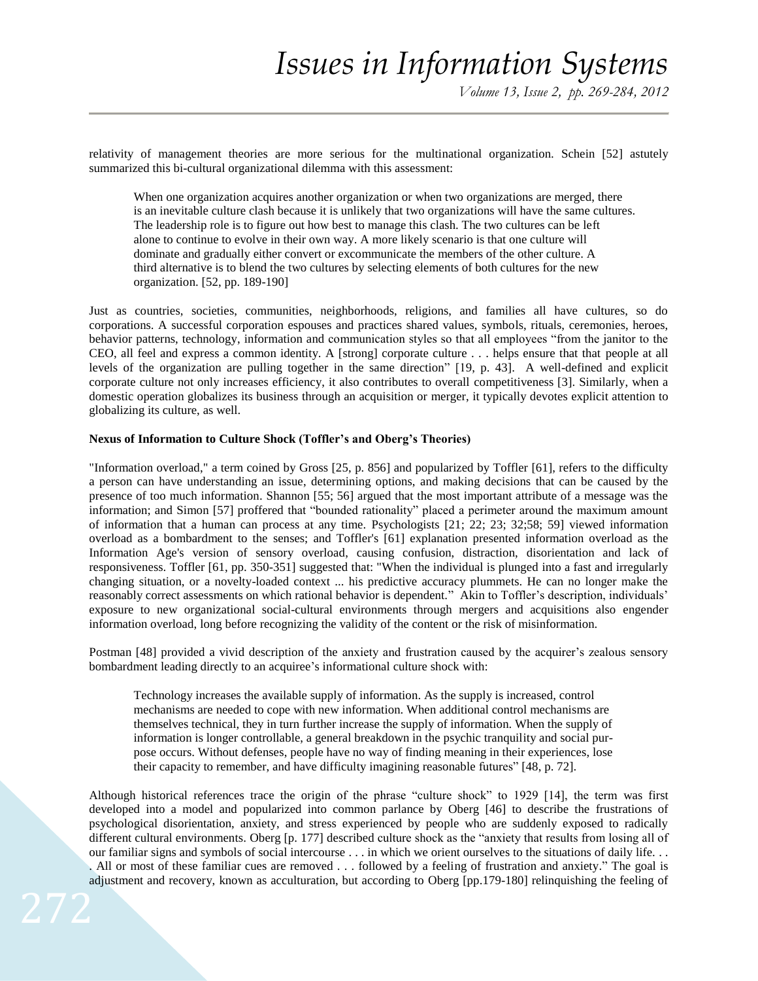relativity of management theories are more serious for the multinational organization. Schein [52] astutely summarized this bi-cultural organizational dilemma with this assessment:

When one organization acquires another organization or when two organizations are merged, there is an inevitable culture clash because it is unlikely that two organizations will have the same cultures. The leadership role is to figure out how best to manage this clash. The two cultures can be left alone to continue to evolve in their own way. A more likely scenario is that one culture will dominate and gradually either convert or excommunicate the members of the other culture. A third alternative is to blend the two cultures by selecting elements of both cultures for the new organization. [52, pp. 189-190]

Just as countries, societies, communities, neighborhoods, religions, and families all have cultures, so do corporations. A successful corporation espouses and practices shared values, symbols, rituals, ceremonies, heroes, behavior patterns, technology, information and communication styles so that all employees "from the janitor to the CEO, all feel and express a common identity. A [strong] corporate culture . . . helps ensure that that people at all levels of the organization are pulling together in the same direction" [19, p. 43]. A well-defined and explicit corporate culture not only increases efficiency, it also contributes to overall competitiveness [3]. Similarly, when a domestic operation globalizes its business through an acquisition or merger, it typically devotes explicit attention to globalizing its culture, as well.

## **Nexus of Information to Culture Shock (Toffler's and Oberg's Theories)**

"Information overload," a term coined by Gross [25, p. 856] and popularized by [Toffler](http://en.wikipedia.org/wiki/Alvin_Toffler) [61], refers to the difficulty a person can have understanding an issue, determining options, and making decisions that can be caused by the presence of too much information. Shannon [55; 56] argued that the most important attribute of a message was the information; and Simon [57] proffered that "bounded rationality" placed a perimeter around the maximum amount of information that a human can process at any time. Psychologists [21; 22; 23; 32;58; 59] viewed information overload as a bombardment to the [senses;](http://en.wikipedia.org/wiki/Senses) and Toffler's [61] explanation presented information overload as the Information Age's version of sensory overload, causing confusion, distraction, disorientation and lack of responsiveness. Toffler [61, pp. 350-351] suggested that: "When the individual is plunged into a fast and irregularly changing situation, or a novelty-loaded context ... his predictive accuracy plummets. He can no longer make the reasonably correct assessments on which rational behavior is dependent." Akin to Toffler's description, individuals' exposure to new organizational social-cultural environments through mergers and acquisitions also engender information overload, long before recognizing the validity of the content or the risk of misinformation.

Postman [48] provided a vivid description of the anxiety and frustration caused by the acquirer's zealous sensory bombardment leading directly to an acquiree's informational culture shock with:

Technology increases the available supply of information. As the supply is increased, control mechanisms are needed to cope with new information. When additional control mechanisms are themselves technical, they in turn further increase the supply of information. When the supply of information is longer controllable, a general breakdown in the psychic tranquility and social purpose occurs. Without defenses, people have no way of finding meaning in their experiences, lose their capacity to remember, and have difficulty imagining reasonable futures" [48, p. 72].

Although historical references trace the origin of the phrase "culture shock" to 1929 [14], the term was first developed into a model and popularized into common parlance by Oberg [46] to describe the frustrations of psychological disorientation, anxiety, and stress experienced by people who are suddenly exposed to radically different cultural environments. Oberg [p. 177] described culture shock as the "anxiety that results from losing all of our familiar signs and symbols of social intercourse . . . in which we orient ourselves to the situations of daily life. . . . All or most of these familiar cues are removed . . . followed by a feeling of frustration and anxiety." The goal is adjustment and recovery, known as acculturation, but according to Oberg [pp.179-180] relinquishing the feeling of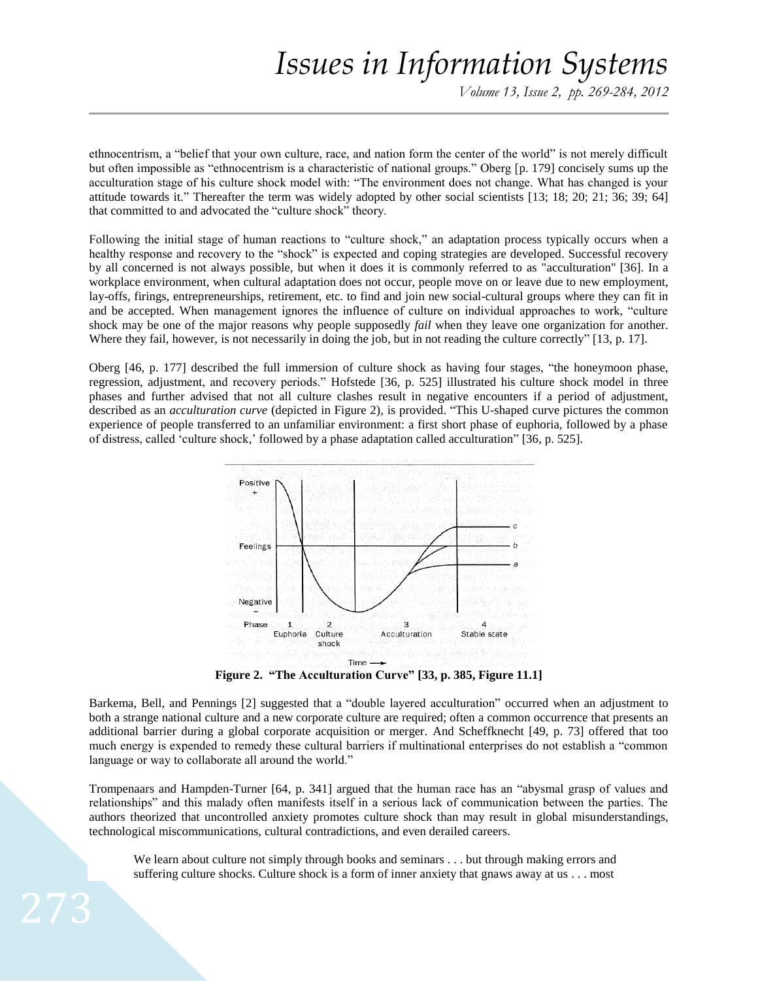*Volume 13, Issue 2, pp. 269-284, 2012*

ethnocentrism, a "belief that your own culture, race, and nation form the center of the world" is not merely difficult but often impossible as "ethnocentrism is a characteristic of national groups." Oberg [p. 179] concisely sums up the acculturation stage of his culture shock model with: "The environment does not change. What has changed is your attitude towards it." Thereafter the term was widely adopted by other social scientists [13; 18; 20; 21; 36; 39; 64] that committed to and advocated the "culture shock" theory.

Following the initial stage of human reactions to "culture shock," an adaptation process typically occurs when a healthy response and recovery to the "shock" is expected and coping strategies are developed. Successful recovery by all concerned is not always possible, but when it does it is commonly referred to as "acculturation" [36]. In a workplace environment, when cultural adaptation does not occur, people move on or leave due to new employment, lay-offs, firings, entrepreneurships, retirement, etc. to find and join new social-cultural groups where they can fit in and be accepted. When management ignores the influence of culture on individual approaches to work, "culture shock may be one of the major reasons why people supposedly *fail* when they leave one organization for another. Where they fail, however, is not necessarily in doing the job, but in not reading the culture correctly" [13, p. 17].

Oberg [46, p. 177] described the full immersion of culture shock as having four stages, "the honeymoon phase, regression, adjustment, and recovery periods." Hofstede [36, p. 525] illustrated his culture shock model in three phases and further advised that not all culture clashes result in negative encounters if a period of adjustment, described as an *acculturation curve* (depicted in Figure 2)*,* is provided. "This U-shaped curve pictures the common experience of people transferred to an unfamiliar environment: a first short phase of euphoria, followed by a phase of distress, called 'culture shock,' followed by a phase adaptation called acculturation" [36, p. 525].



**Figure 2. "The Acculturation Curve" [33, p. 385, Figure 11.1]**

Barkema, Bell, and Pennings [2] suggested that a "double layered acculturation" occurred when an adjustment to both a strange national culture and a new corporate culture are required; often a common occurrence that presents an additional barrier during a global corporate acquisition or merger. And Scheffknecht [49, p. 73] offered that too much energy is expended to remedy these cultural barriers if multinational enterprises do not establish a "common language or way to collaborate all around the world."

Trompenaars and Hampden-Turner [64, p. 341] argued that the human race has an "abysmal grasp of values and relationships" and this malady often manifests itself in a serious lack of communication between the parties. The authors theorized that uncontrolled anxiety promotes culture shock than may result in global misunderstandings, technological miscommunications, cultural contradictions, and even derailed careers.

We learn about culture not simply through books and seminars . . . but through making errors and suffering culture shocks. Culture shock is a form of inner anxiety that gnaws away at us . . . most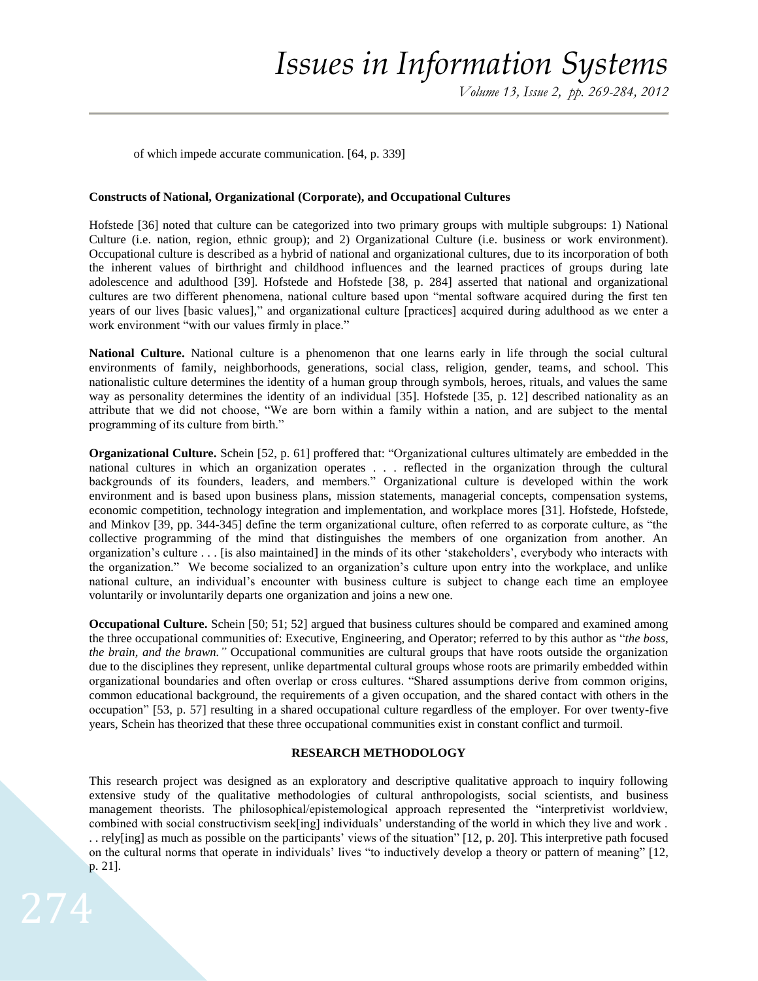of which impede accurate communication. [64, p. 339]

#### **Constructs of National, Organizational (Corporate), and Occupational Cultures**

Hofstede [36] noted that culture can be categorized into two primary groups with multiple subgroups: 1) National Culture (i.e. nation, region, ethnic group); and 2) Organizational Culture (i.e. business or work environment). Occupational culture is described as a hybrid of national and organizational cultures, due to its incorporation of both the inherent values of birthright and childhood influences and the learned practices of groups during late adolescence and adulthood [39]. Hofstede and Hofstede [38, p. 284] asserted that national and organizational cultures are two different phenomena, national culture based upon "mental software acquired during the first ten years of our lives [basic values]," and organizational culture [practices] acquired during adulthood as we enter a work environment "with our values firmly in place."

**National Culture.** National culture is a phenomenon that one learns early in life through the social cultural environments of family, neighborhoods, generations, social class, religion, gender, teams, and school. This nationalistic culture determines the identity of a human group through symbols, heroes, rituals, and values the same way as personality determines the identity of an individual [35]. Hofstede [35, p. 12] described nationality as an attribute that we did not choose, "We are born within a family within a nation, and are subject to the mental programming of its culture from birth."

**Organizational Culture.** Schein [52, p. 61] proffered that: "Organizational cultures ultimately are embedded in the national cultures in which an organization operates . . . reflected in the organization through the cultural backgrounds of its founders, leaders, and members." Organizational culture is developed within the work environment and is based upon business plans, mission statements, managerial concepts, compensation systems, economic competition, technology integration and implementation, and workplace mores [31]. Hofstede, Hofstede, and Minkov [39, pp. 344-345] define the term organizational culture, often referred to as corporate culture, as "the collective programming of the mind that distinguishes the members of one organization from another. An organization's culture . . . [is also maintained] in the minds of its other 'stakeholders', everybody who interacts with the organization." We become socialized to an organization's culture upon entry into the workplace, and unlike national culture, an individual's encounter with business culture is subject to change each time an employee voluntarily or involuntarily departs one organization and joins a new one.

**Occupational Culture.** Schein [50; 51; 52] argued that business cultures should be compared and examined among the three occupational communities of: Executive, Engineering, and Operator; referred to by this author as "*the boss, the brain, and the brawn."* Occupational communities are cultural groups that have roots outside the organization due to the disciplines they represent, unlike departmental cultural groups whose roots are primarily embedded within organizational boundaries and often overlap or cross cultures. "Shared assumptions derive from common origins, common educational background, the requirements of a given occupation, and the shared contact with others in the occupation" [53, p. 57] resulting in a shared occupational culture regardless of the employer. For over twenty-five years, Schein has theorized that these three occupational communities exist in constant conflict and turmoil.

## **RESEARCH METHODOLOGY**

This research project was designed as an exploratory and descriptive qualitative approach to inquiry following extensive study of the qualitative methodologies of cultural anthropologists, social scientists, and business management theorists. The philosophical/epistemological approach represented the "interpretivist worldview, combined with social constructivism seek[ing] individuals' understanding of the world in which they live and work . . . rely[ing] as much as possible on the participants' views of the situation" [12, p. 20]. This interpretive path focused on the cultural norms that operate in individuals' lives "to inductively develop a theory or pattern of meaning" [12, p. 21].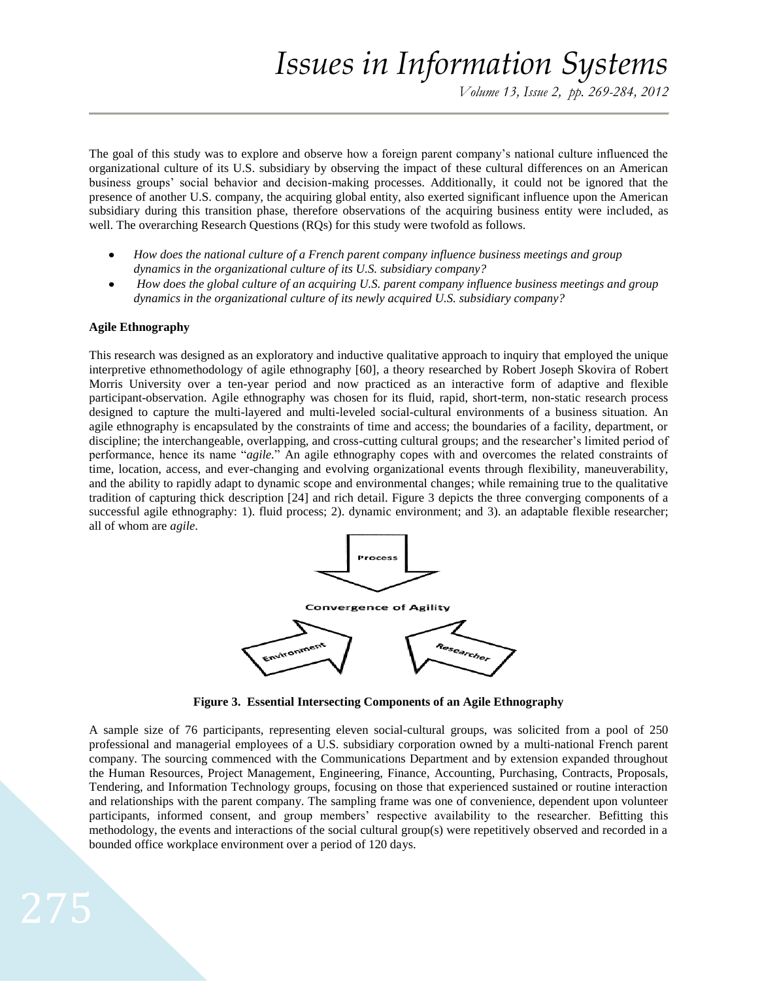The goal of this study was to explore and observe how a foreign parent company's national culture influenced the organizational culture of its U.S. subsidiary by observing the impact of these cultural differences on an American business groups' social behavior and decision-making processes. Additionally, it could not be ignored that the presence of another U.S. company, the acquiring global entity, also exerted significant influence upon the American subsidiary during this transition phase, therefore observations of the acquiring business entity were included, as well. The overarching Research Questions (RQs) for this study were twofold as follows.

- *How does the national culture of a French parent company influence business meetings and group dynamics in the organizational culture of its U.S. subsidiary company?*
- *How does the global culture of an acquiring U.S. parent company influence business meetings and group dynamics in the organizational culture of its newly acquired U.S. subsidiary company?*

# **Agile Ethnography**

This research was designed as an exploratory and inductive qualitative approach to inquiry that employed the unique interpretive ethnomethodology of agile ethnography [60], a theory researched by Robert Joseph Skovira of Robert Morris University over a ten-year period and now practiced as an interactive form of adaptive and flexible participant-observation. Agile ethnography was chosen for its fluid, rapid, short-term, non-static research process designed to capture the multi-layered and multi-leveled social-cultural environments of a business situation. An agile ethnography is encapsulated by the constraints of time and access; the boundaries of a facility, department, or discipline; the interchangeable, overlapping, and cross-cutting cultural groups; and the researcher's limited period of performance, hence its name "*agile.*" An agile ethnography copes with and overcomes the related constraints of time, location, access, and ever-changing and evolving organizational events through flexibility, maneuverability, and the ability to rapidly adapt to dynamic scope and environmental changes; while remaining true to the qualitative tradition of capturing thick description [24] and rich detail. Figure 3 depicts the three converging components of a successful agile ethnography: 1). fluid process; 2). dynamic environment; and 3). an adaptable flexible researcher; all of whom are *agile*.



**Figure 3. Essential Intersecting Components of an Agile Ethnography**

A sample size of 76 participants, representing eleven social-cultural groups, was solicited from a pool of 250 professional and managerial employees of a U.S. subsidiary corporation owned by a multi-national French parent company. The sourcing commenced with the Communications Department and by extension expanded throughout the Human Resources, Project Management, Engineering, Finance, Accounting, Purchasing, Contracts, Proposals, Tendering, and Information Technology groups, focusing on those that experienced sustained or routine interaction and relationships with the parent company. The sampling frame was one of convenience, dependent upon volunteer participants, informed consent, and group members' respective availability to the researcher. Befitting this methodology, the events and interactions of the social cultural group(s) were repetitively observed and recorded in a bounded office workplace environment over a period of 120 days.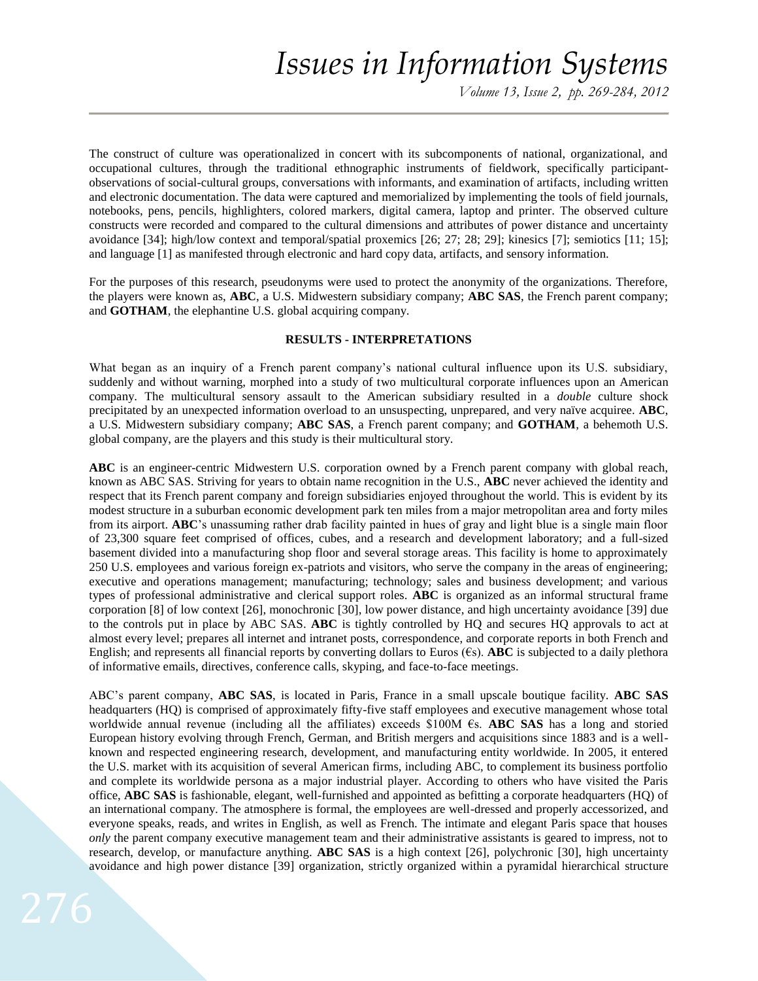*Volume 13, Issue 2, pp. 269-284, 2012*

The construct of culture was operationalized in concert with its subcomponents of national, organizational, and occupational cultures, through the traditional ethnographic instruments of fieldwork, specifically participantobservations of social-cultural groups, conversations with informants, and examination of artifacts, including written and electronic documentation. The data were captured and memorialized by implementing the tools of field journals, notebooks, pens, pencils, highlighters, colored markers, digital camera, laptop and printer. The observed culture constructs were recorded and compared to the cultural dimensions and attributes of power distance and uncertainty avoidance [34]; high/low context and temporal/spatial proxemics [26; 27; 28; 29]; kinesics [7]; semiotics [11; 15]; and language [1] as manifested through electronic and hard copy data, artifacts, and sensory information.

For the purposes of this research, pseudonyms were used to protect the anonymity of the organizations. Therefore, the players were known as, **ABC**, a U.S. Midwestern subsidiary company; **ABC SAS**, the French parent company; and **GOTHAM**, the elephantine U.S. global acquiring company.

## **RESULTS - INTERPRETATIONS**

What began as an inquiry of a French parent company's national cultural influence upon its U.S. subsidiary, suddenly and without warning, morphed into a study of two multicultural corporate influences upon an American company. The multicultural sensory assault to the American subsidiary resulted in a *double* culture shock precipitated by an unexpected information overload to an unsuspecting, unprepared, and very naïve acquiree. **ABC**, a U.S. Midwestern subsidiary company; **ABC SAS**, a French parent company; and **GOTHAM**, a behemoth U.S. global company, are the players and this study is their multicultural story.

**ABC** is an engineer-centric Midwestern U.S. corporation owned by a French parent company with global reach, known as ABC SAS. Striving for years to obtain name recognition in the U.S., **ABC** never achieved the identity and respect that its French parent company and foreign subsidiaries enjoyed throughout the world. This is evident by its modest structure in a suburban economic development park ten miles from a major metropolitan area and forty miles from its airport. **ABC**'s unassuming rather drab facility painted in hues of gray and light blue is a single main floor of 23,300 square feet comprised of offices, cubes, and a research and development laboratory; and a full-sized basement divided into a manufacturing shop floor and several storage areas. This facility is home to approximately 250 U.S. employees and various foreign ex-patriots and visitors, who serve the company in the areas of engineering; executive and operations management; manufacturing; technology; sales and business development; and various types of professional administrative and clerical support roles. **ABC** is organized as an informal structural frame corporation [8] of low context [26], monochronic [30], low power distance, and high uncertainty avoidance [39] due to the controls put in place by ABC SAS. **ABC** is tightly controlled by HQ and secures HQ approvals to act at almost every level; prepares all internet and intranet posts, correspondence, and corporate reports in both French and English; and represents all financial reports by converting dollars to Euros  $(\epsilon s)$ . **ABC** is subjected to a daily plethora of informative emails, directives, conference calls, skyping, and face-to-face meetings.

ABC's parent company, **ABC SAS**, is located in Paris, France in a small upscale boutique facility. **ABC SAS** headquarters (HQ) is comprised of approximately fifty-five staff employees and executive management whose total worldwide annual revenue (including all the affiliates) exceeds \$100M €s. **ABC SAS** has a long and storied European history evolving through French, German, and British mergers and acquisitions since 1883 and is a wellknown and respected engineering research, development, and manufacturing entity worldwide. In 2005, it entered the U.S. market with its acquisition of several American firms, including ABC, to complement its business portfolio and complete its worldwide persona as a major industrial player. According to others who have visited the Paris office, **ABC SAS** is fashionable, elegant, well-furnished and appointed as befitting a corporate headquarters (HQ) of an international company. The atmosphere is formal, the employees are well-dressed and properly accessorized, and everyone speaks, reads, and writes in English, as well as French. The intimate and elegant Paris space that houses *only* the parent company executive management team and their administrative assistants is geared to impress, not to research, develop, or manufacture anything. **ABC SAS** is a high context [26], polychronic [30], high uncertainty avoidance and high power distance [39] organization, strictly organized within a pyramidal hierarchical structure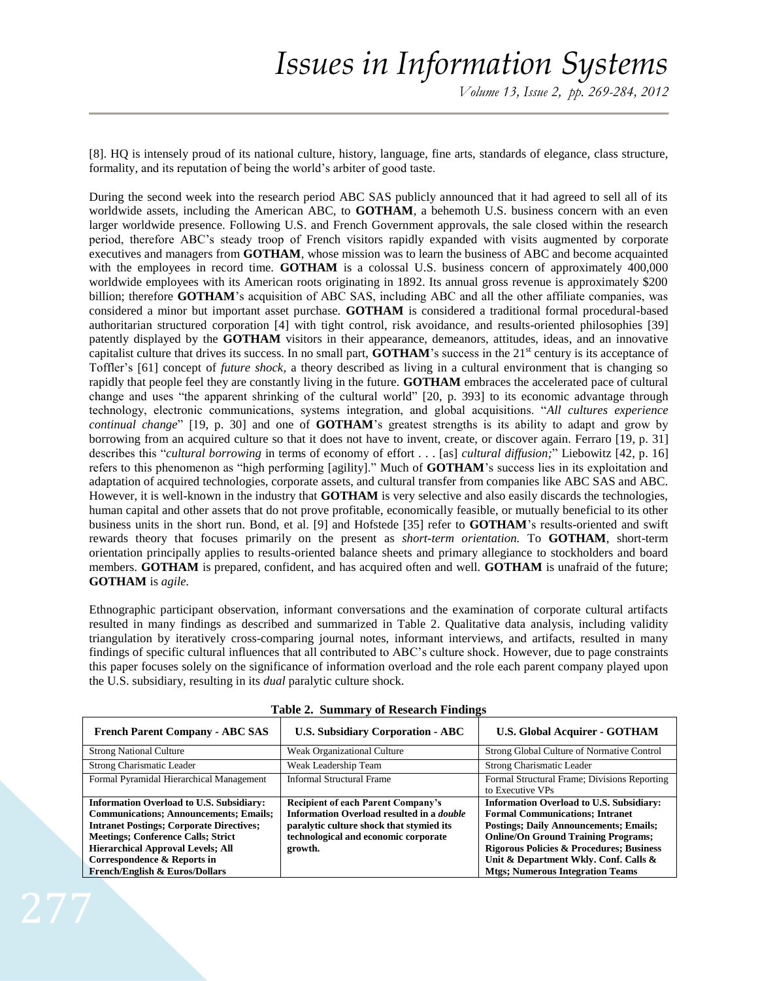[8]. HQ is intensely proud of its national culture, history, language, fine arts, standards of elegance, class structure, formality, and its reputation of being the world's arbiter of good taste.

During the second week into the research period ABC SAS publicly announced that it had agreed to sell all of its worldwide assets, including the American ABC, to **GOTHAM**, a behemoth U.S. business concern with an even larger worldwide presence. Following U.S. and French Government approvals, the sale closed within the research period, therefore ABC's steady troop of French visitors rapidly expanded with visits augmented by corporate executives and managers from **GOTHAM**, whose mission was to learn the business of ABC and become acquainted with the employees in record time. **GOTHAM** is a colossal U.S. business concern of approximately 400,000 worldwide employees with its American roots originating in 1892. Its annual gross revenue is approximately \$200 billion; therefore **GOTHAM**'s acquisition of ABC SAS, including ABC and all the other affiliate companies, was considered a minor but important asset purchase. **GOTHAM** is considered a traditional formal procedural-based authoritarian structured corporation [4] with tight control, risk avoidance, and results-oriented philosophies [39] patently displayed by the **GOTHAM** visitors in their appearance, demeanors, attitudes, ideas, and an innovative capitalist culture that drives its success. In no small part, **GOTHAM**'s success in the 21<sup>st</sup> century is its acceptance of Toffler's [61] concept of *future shock*, a theory described as living in a cultural environment that is changing so rapidly that people feel they are constantly living in the future. **GOTHAM** embraces the accelerated pace of cultural change and uses "the apparent shrinking of the cultural world" [20, p. 393] to its economic advantage through technology, electronic communications, systems integration, and global acquisitions. "*All cultures experience continual change*" [19, p. 30] and one of **GOTHAM**'s greatest strengths is its ability to adapt and grow by borrowing from an acquired culture so that it does not have to invent, create, or discover again. Ferraro [19, p. 31] describes this "*cultural borrowing* in terms of economy of effort . . . [as] *cultural diffusion;*" Liebowitz [42, p. 16] refers to this phenomenon as "high performing [agility]." Much of **GOTHAM**'s success lies in its exploitation and adaptation of acquired technologies, corporate assets, and cultural transfer from companies like ABC SAS and ABC. However, it is well-known in the industry that **GOTHAM** is very selective and also easily discards the technologies, human capital and other assets that do not prove profitable, economically feasible, or mutually beneficial to its other business units in the short run. Bond, et al. [9] and Hofstede [35] refer to **GOTHAM**'s results-oriented and swift rewards theory that focuses primarily on the present as *short-term orientation.* To **GOTHAM**, short-term orientation principally applies to results-oriented balance sheets and primary allegiance to stockholders and board members. **GOTHAM** is prepared, confident, and has acquired often and well. **GOTHAM** is unafraid of the future; **GOTHAM** is *agile.*

Ethnographic participant observation, informant conversations and the examination of corporate cultural artifacts resulted in many findings as described and summarized in Table 2. Qualitative data analysis, including validity triangulation by iteratively cross-comparing journal notes, informant interviews, and artifacts, resulted in many findings of specific cultural influences that all contributed to ABC's culture shock. However, due to page constraints this paper focuses solely on the significance of information overload and the role each parent company played upon the U.S. subsidiary, resulting in its *dual* paralytic culture shock.

| <b>French Parent Company - ABC SAS</b>                                                                                                                                                                                                                                      | <b>U.S. Subsidiary Corporation - ABC</b>                                                                                                                                                     | <b>U.S. Global Acquirer - GOTHAM</b>                                                                                                                                                                                                                                                     |
|-----------------------------------------------------------------------------------------------------------------------------------------------------------------------------------------------------------------------------------------------------------------------------|----------------------------------------------------------------------------------------------------------------------------------------------------------------------------------------------|------------------------------------------------------------------------------------------------------------------------------------------------------------------------------------------------------------------------------------------------------------------------------------------|
| <b>Strong National Culture</b>                                                                                                                                                                                                                                              | Weak Organizational Culture                                                                                                                                                                  | Strong Global Culture of Normative Control                                                                                                                                                                                                                                               |
| Strong Charismatic Leader                                                                                                                                                                                                                                                   | Weak Leadership Team                                                                                                                                                                         | Strong Charismatic Leader                                                                                                                                                                                                                                                                |
| Formal Pyramidal Hierarchical Management                                                                                                                                                                                                                                    | <b>Informal Structural Frame</b>                                                                                                                                                             | Formal Structural Frame; Divisions Reporting<br>to Executive VPs                                                                                                                                                                                                                         |
| <b>Information Overload to U.S. Subsidiary:</b><br><b>Communications: Announcements: Emails:</b><br><b>Intranet Postings; Corporate Directives;</b><br><b>Meetings: Conference Calls: Strict</b><br><b>Hierarchical Approval Levels; All</b><br>Correspondence & Reports in | <b>Recipient of each Parent Company's</b><br>Information Overload resulted in a <i>double</i><br>paralytic culture shock that stymied its<br>technological and economic corporate<br>growth. | <b>Information Overload to U.S. Subsidiary:</b><br><b>Formal Communications: Intranet</b><br><b>Postings; Daily Announcements; Emails;</b><br><b>Online/On Ground Training Programs;</b><br><b>Rigorous Policies &amp; Procedures; Business</b><br>Unit & Department Wkly. Conf. Calls & |
| <b>French/English &amp; Euros/Dollars</b>                                                                                                                                                                                                                                   |                                                                                                                                                                                              | <b>Mtgs</b> ; Numerous Integration Teams                                                                                                                                                                                                                                                 |

**Table 2. Summary of Research Findings**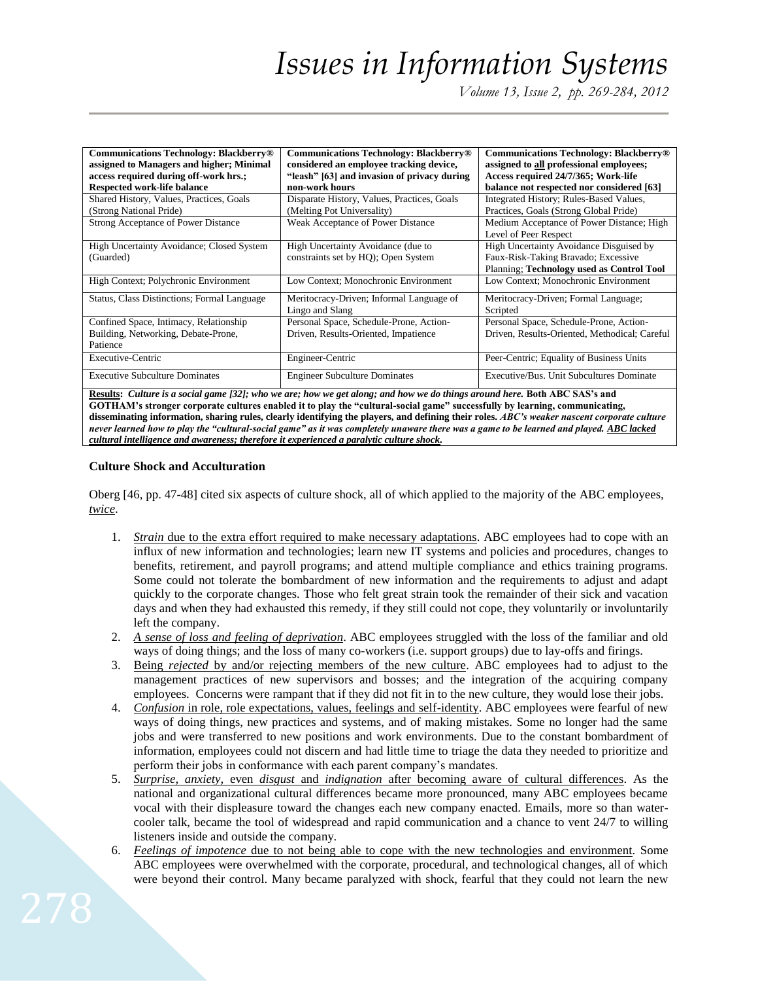*Volume 13, Issue 2, pp. 269-284, 2012*

| <b>Communications Technology: Blackberry®</b> | <b>Communications Technology: Blackberry</b> <sup>®</sup> | <b>Communications Technology: Blackberry</b> <sup>®</sup> |
|-----------------------------------------------|-----------------------------------------------------------|-----------------------------------------------------------|
| assigned to Managers and higher; Minimal      | considered an employee tracking device,                   | assigned to all professional employees;                   |
| access required during off-work hrs.;         | "leash" [63] and invasion of privacy during               | Access required 24/7/365; Work-life                       |
| <b>Respected work-life balance</b>            | non-work hours                                            | balance not respected nor considered [63]                 |
| Shared History, Values, Practices, Goals      | Disparate History, Values, Practices, Goals               | Integrated History; Rules-Based Values,                   |
| (Strong National Pride)                       | (Melting Pot Universality)                                | Practices, Goals (Strong Global Pride)                    |
| Strong Acceptance of Power Distance           | Weak Acceptance of Power Distance                         | Medium Acceptance of Power Distance; High                 |
|                                               |                                                           | Level of Peer Respect                                     |
| High Uncertainty Avoidance; Closed System     | High Uncertainty Avoidance (due to                        | High Uncertainty Avoidance Disguised by                   |
| (Guarded)                                     | constraints set by HQ); Open System                       | Faux-Risk-Taking Bravado; Excessive                       |
|                                               |                                                           | Planning; Technology used as Control Tool                 |
| High Context; Polychronic Environment         | Low Context; Monochronic Environment                      | Low Context; Monochronic Environment                      |
| Status, Class Distinctions; Formal Language   | Meritocracy-Driven; Informal Language of                  | Meritocracy-Driven; Formal Language;                      |
|                                               | Lingo and Slang                                           | Scripted                                                  |
| Confined Space, Intimacy, Relationship        | Personal Space, Schedule-Prone, Action-                   | Personal Space, Schedule-Prone, Action-                   |
| Building, Networking, Debate-Prone,           | Driven, Results-Oriented, Impatience                      | Driven, Results-Oriented, Methodical; Careful             |
| Patience                                      |                                                           |                                                           |
| Executive-Centric                             | Engineer-Centric                                          | Peer-Centric; Equality of Business Units                  |
| <b>Executive Subculture Dominates</b>         | <b>Engineer Subculture Dominates</b>                      | Executive/Bus. Unit Subcultures Dominate                  |

**Results:** *Culture is a social game [32]; who we are; how we get along; and how we do things around here.* **Both ABC SAS's and GOTHAM's stronger corporate cultures enabled it to play the "cultural-social game" successfully by learning, communicating, disseminating information, sharing rules, clearly identifying the players, and defining their roles.** *ABC's weaker nascent corporate culture never learned how to play the "cultural-social game" as it was completely unaware there was a game to be learned and played. ABC lacked cultural intelligence and awareness; therefore it experienced a paralytic culture shock.*

# **Culture Shock and Acculturation**

Oberg [46, pp. 47-48] cited six aspects of culture shock, all of which applied to the majority of the ABC employees, *twice*.

- 1. *Strain* due to the extra effort required to make necessary adaptations. ABC employees had to cope with an influx of new information and technologies; learn new IT systems and policies and procedures, changes to benefits, retirement, and payroll programs; and attend multiple compliance and ethics training programs. Some could not tolerate the bombardment of new information and the requirements to adjust and adapt quickly to the corporate changes. Those who felt great strain took the remainder of their sick and vacation days and when they had exhausted this remedy, if they still could not cope, they voluntarily or involuntarily left the company.
- 2. *A sense of loss and feeling of deprivation*. ABC employees struggled with the loss of the familiar and old ways of doing things; and the loss of many co-workers (i.e. support groups) due to lay-offs and firings.
- 3. Being *rejected* by and/or rejecting members of the new culture. ABC employees had to adjust to the management practices of new supervisors and bosses; and the integration of the acquiring company employees. Concerns were rampant that if they did not fit in to the new culture, they would lose their jobs.
- 4. *Confusion* in role, role expectations, values, feelings and self-identity. ABC employees were fearful of new ways of doing things, new practices and systems, and of making mistakes. Some no longer had the same jobs and were transferred to new positions and work environments. Due to the constant bombardment of information, employees could not discern and had little time to triage the data they needed to prioritize and perform their jobs in conformance with each parent company's mandates.
- 5. *Surprise, anxiety,* even *disgust* and *indignation* after becoming aware of cultural differences. As the national and organizational cultural differences became more pronounced, many ABC employees became vocal with their displeasure toward the changes each new company enacted. Emails, more so than watercooler talk, became the tool of widespread and rapid communication and a chance to vent 24/7 to willing listeners inside and outside the company.
- 6. *Feelings of impotence* due to not being able to cope with the new technologies and environment. Some ABC employees were overwhelmed with the corporate, procedural, and technological changes, all of which were beyond their control. Many became paralyzed with shock, fearful that they could not learn the new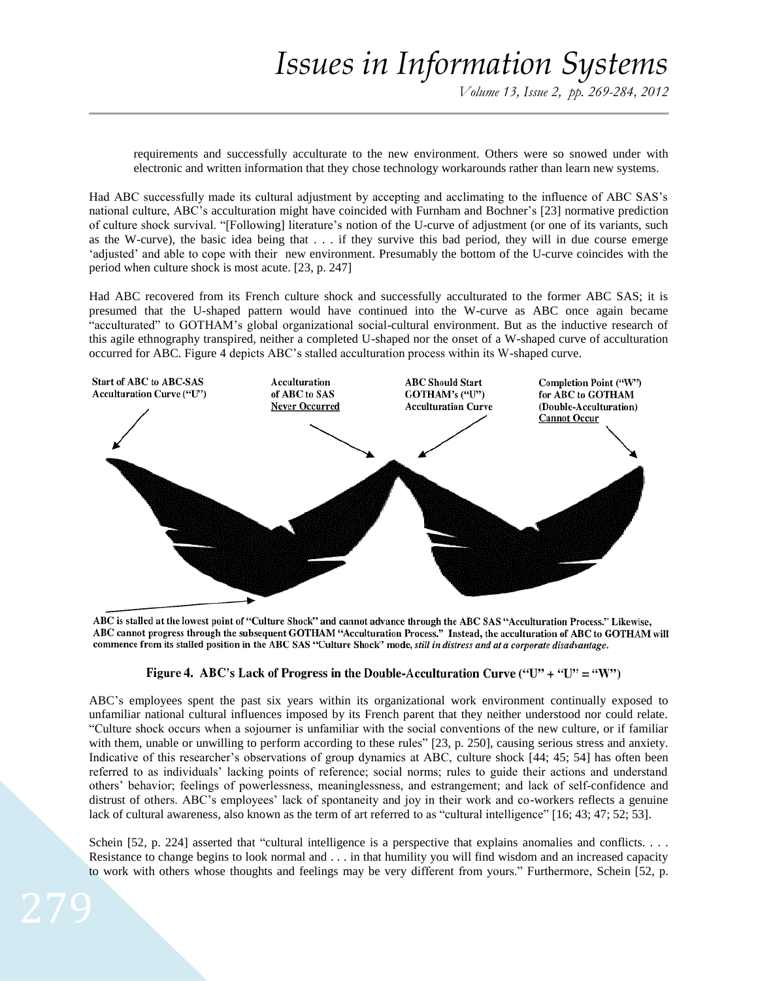requirements and successfully acculturate to the new environment. Others were so snowed under with electronic and written information that they chose technology workarounds rather than learn new systems.

Had ABC successfully made its cultural adjustment by accepting and acclimating to the influence of ABC SAS's national culture, ABC's acculturation might have coincided with Furnham and Bochner's [23] normative prediction of culture shock survival. "[Following] literature's notion of the U-curve of adjustment (or one of its variants, such as the W-curve), the basic idea being that . . . if they survive this bad period, they will in due course emerge 'adjusted' and able to cope with their new environment. Presumably the bottom of the U-curve coincides with the period when culture shock is most acute. [23, p. 247]

Had ABC recovered from its French culture shock and successfully acculturated to the former ABC SAS; it is presumed that the U-shaped pattern would have continued into the W-curve as ABC once again became "acculturated" to GOTHAM's global organizational social-cultural environment. But as the inductive research of this agile ethnography transpired, neither a completed U-shaped nor the onset of a W-shaped curve of acculturation occurred for ABC. Figure 4 depicts ABC's stalled acculturation process within its W-shaped curve.



ABC is stalled at the lowest point of "Culture Shock" and cannot advance through the ABC SAS "Acculturation Process." Likewise, ABC cannot progress through the subsequent GOTHAM "Acculturation Process." Instead, the acculturation of ABC to GOTHAM will commence from its stalled position in the ABC SAS "Culture Shock" mode, still in distress and at a corporate disadvantage.

# Figure 4. ABC's Lack of Progress in the Double-Acculturation Curve ("U" + "U" = "W")

ABC's employees spent the past six years within its organizational work environment continually exposed to unfamiliar national cultural influences imposed by its French parent that they neither understood nor could relate. "Culture shock occurs when a sojourner is unfamiliar with the social conventions of the new culture, or if familiar with them, unable or unwilling to perform according to these rules" [23, p. 250], causing serious stress and anxiety. Indicative of this researcher's observations of group dynamics at ABC, culture shock [44; 45; 54] has often been referred to as individuals' lacking points of reference; social norms; rules to guide their actions and understand others' behavior; feelings of powerlessness, meaninglessness, and estrangement; and lack of self-confidence and distrust of others. ABC's employees' lack of spontaneity and joy in their work and co-workers reflects a genuine lack of cultural awareness, also known as the term of art referred to as "cultural intelligence" [16; 43; 47; 52; 53].

Schein [52, p. 224] asserted that "cultural intelligence is a perspective that explains anomalies and conflicts. . . . Resistance to change begins to look normal and . . . in that humility you will find wisdom and an increased capacity to work with others whose thoughts and feelings may be very different from yours." Furthermore, Schein [52, p.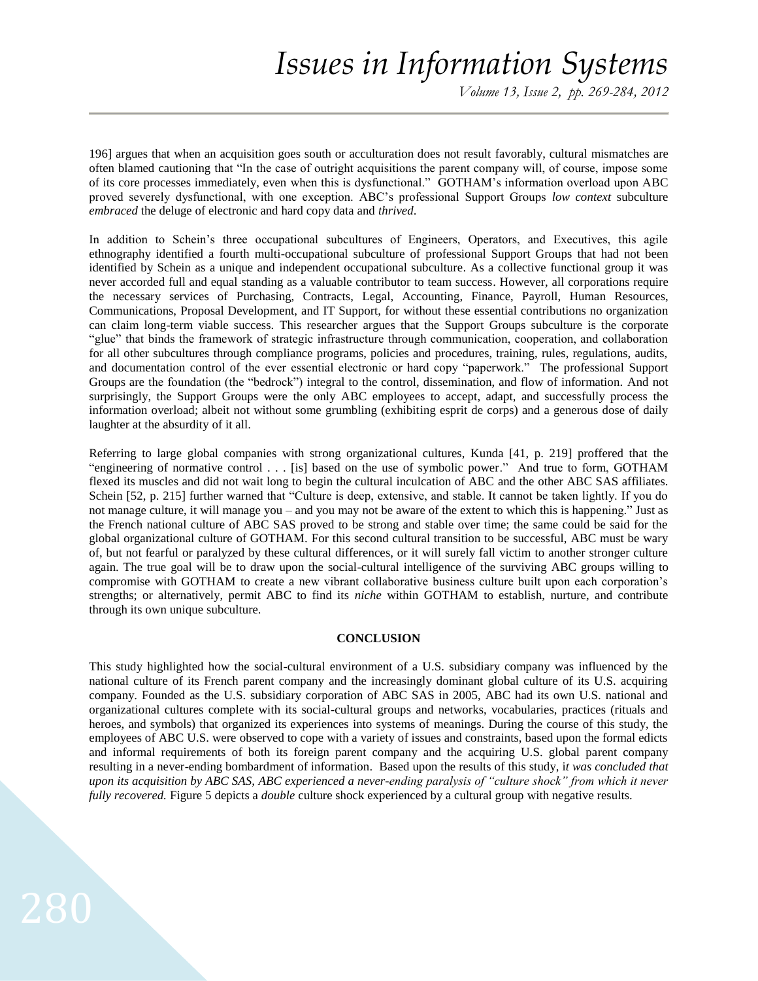*Volume 13, Issue 2, pp. 269-284, 2012*

196] argues that when an acquisition goes south or acculturation does not result favorably, cultural mismatches are often blamed cautioning that "In the case of outright acquisitions the parent company will, of course, impose some of its core processes immediately, even when this is dysfunctional." GOTHAM's information overload upon ABC proved severely dysfunctional, with one exception. ABC's professional Support Groups *low context* subculture *embraced* the deluge of electronic and hard copy data and *thrived*.

In addition to Schein's three occupational subcultures of Engineers, Operators, and Executives, this agile ethnography identified a fourth multi-occupational subculture of professional Support Groups that had not been identified by Schein as a unique and independent occupational subculture. As a collective functional group it was never accorded full and equal standing as a valuable contributor to team success. However, all corporations require the necessary services of Purchasing, Contracts, Legal, Accounting, Finance, Payroll, Human Resources, Communications, Proposal Development, and IT Support, for without these essential contributions no organization can claim long-term viable success. This researcher argues that the Support Groups subculture is the corporate "glue" that binds the framework of strategic infrastructure through communication, cooperation, and collaboration for all other subcultures through compliance programs, policies and procedures, training, rules, regulations, audits, and documentation control of the ever essential electronic or hard copy "paperwork." The professional Support Groups are the foundation (the "bedrock") integral to the control, dissemination, and flow of information. And not surprisingly, the Support Groups were the only ABC employees to accept, adapt, and successfully process the information overload; albeit not without some grumbling (exhibiting esprit de corps) and a generous dose of daily laughter at the absurdity of it all.

Referring to large global companies with strong organizational cultures, Kunda [41, p. 219] proffered that the "engineering of normative control . . . [is] based on the use of symbolic power." And true to form, GOTHAM flexed its muscles and did not wait long to begin the cultural inculcation of ABC and the other ABC SAS affiliates. Schein [52, p. 215] further warned that "Culture is deep, extensive, and stable. It cannot be taken lightly. If you do not manage culture, it will manage you – and you may not be aware of the extent to which this is happening." Just as the French national culture of ABC SAS proved to be strong and stable over time; the same could be said for the global organizational culture of GOTHAM. For this second cultural transition to be successful, ABC must be wary of, but not fearful or paralyzed by these cultural differences, or it will surely fall victim to another stronger culture again. The true goal will be to draw upon the social-cultural intelligence of the surviving ABC groups willing to compromise with GOTHAM to create a new vibrant collaborative business culture built upon each corporation's strengths; or alternatively, permit ABC to find its *niche* within GOTHAM to establish, nurture, and contribute through its own unique subculture.

### **CONCLUSION**

This study highlighted how the social-cultural environment of a U.S. subsidiary company was influenced by the national culture of its French parent company and the increasingly dominant global culture of its U.S. acquiring company. Founded as the U.S. subsidiary corporation of ABC SAS in 2005, ABC had its own U.S. national and organizational cultures complete with its social-cultural groups and networks, vocabularies, practices (rituals and heroes, and symbols) that organized its experiences into systems of meanings. During the course of this study, the employees of ABC U.S. were observed to cope with a variety of issues and constraints, based upon the formal edicts and informal requirements of both its foreign parent company and the acquiring U.S. global parent company resulting in a never-ending bombardment of information. Based upon the results of this study, i*t was concluded that upon its acquisition by ABC SAS, ABC experienced a never-ending paralysis of "culture shock" from which it never fully recovered.* Figure 5 depicts a *double* culture shock experienced by a cultural group with negative results.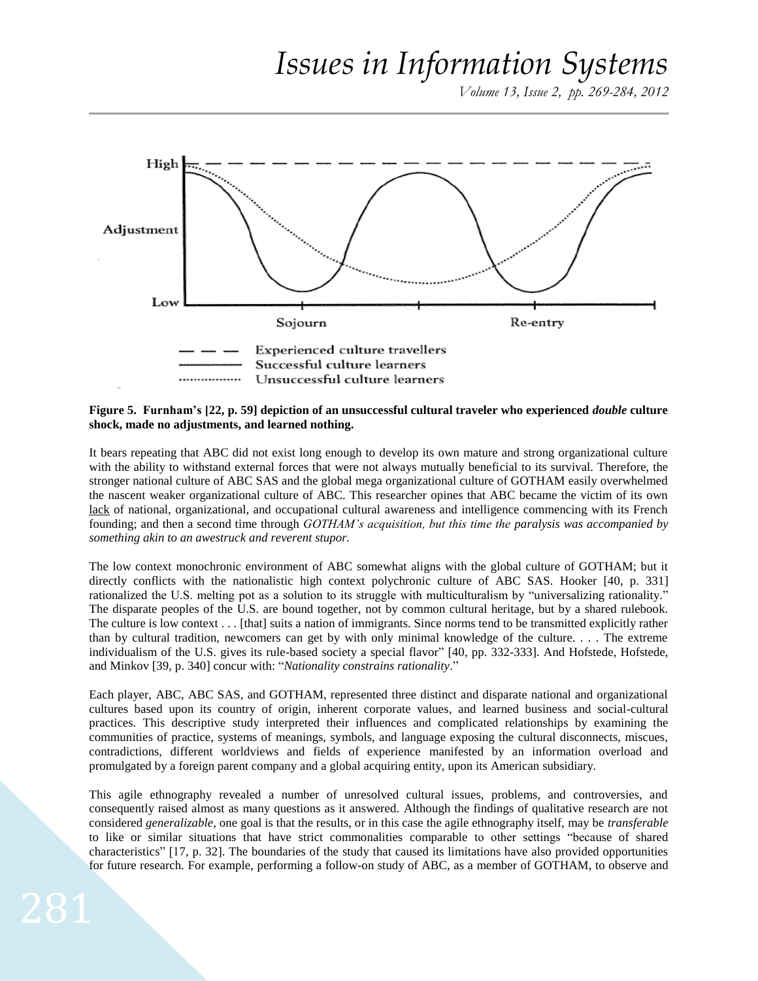*Volume 13, Issue 2, pp. 269-284, 2012*



**Figure 5. Furnham's [22, p. 59] depiction of an unsuccessful cultural traveler who experienced** *double* **culture shock, made no adjustments, and learned nothing.** 

It bears repeating that ABC did not exist long enough to develop its own mature and strong organizational culture with the ability to withstand external forces that were not always mutually beneficial to its survival. Therefore, the stronger national culture of ABC SAS and the global mega organizational culture of GOTHAM easily overwhelmed the nascent weaker organizational culture of ABC. This researcher opines that ABC became the victim of its own lack of national, organizational, and occupational cultural awareness and intelligence commencing with its French founding; and then a second time through *GOTHAM's acquisition, but this time the paralysis was accompanied by something akin to an awestruck and reverent stupor.*

The low context monochronic environment of ABC somewhat aligns with the global culture of GOTHAM; but it directly conflicts with the nationalistic high context polychronic culture of ABC SAS. Hooker [40, p. 331] rationalized the U.S. melting pot as a solution to its struggle with multiculturalism by "universalizing rationality." The disparate peoples of the U.S. are bound together, not by common cultural heritage, but by a shared rulebook. The culture is low context . . . [that] suits a nation of immigrants. Since norms tend to be transmitted explicitly rather than by cultural tradition, newcomers can get by with only minimal knowledge of the culture. . . . The extreme individualism of the U.S. gives its rule-based society a special flavor" [40, pp. 332-333]. And Hofstede, Hofstede, and Minkov [39, p. 340] concur with: "*Nationality constrains rationality*."

Each player, ABC, ABC SAS, and GOTHAM, represented three distinct and disparate national and organizational cultures based upon its country of origin, inherent corporate values, and learned business and social-cultural practices. This descriptive study interpreted their influences and complicated relationships by examining the communities of practice, systems of meanings, symbols, and language exposing the cultural disconnects, miscues, contradictions, different worldviews and fields of experience manifested by an information overload and promulgated by a foreign parent company and a global acquiring entity, upon its American subsidiary.

This agile ethnography revealed a number of unresolved cultural issues, problems, and controversies, and consequently raised almost as many questions as it answered. Although the findings of qualitative research are not considered *generalizable*, one goal is that the results, or in this case the agile ethnography itself, may be *transferable* to like or similar situations that have strict commonalities comparable to other settings "because of shared characteristics" [17, p. 32]. The boundaries of the study that caused its limitations have also provided opportunities for future research. For example, performing a follow-on study of ABC, as a member of GOTHAM, to observe and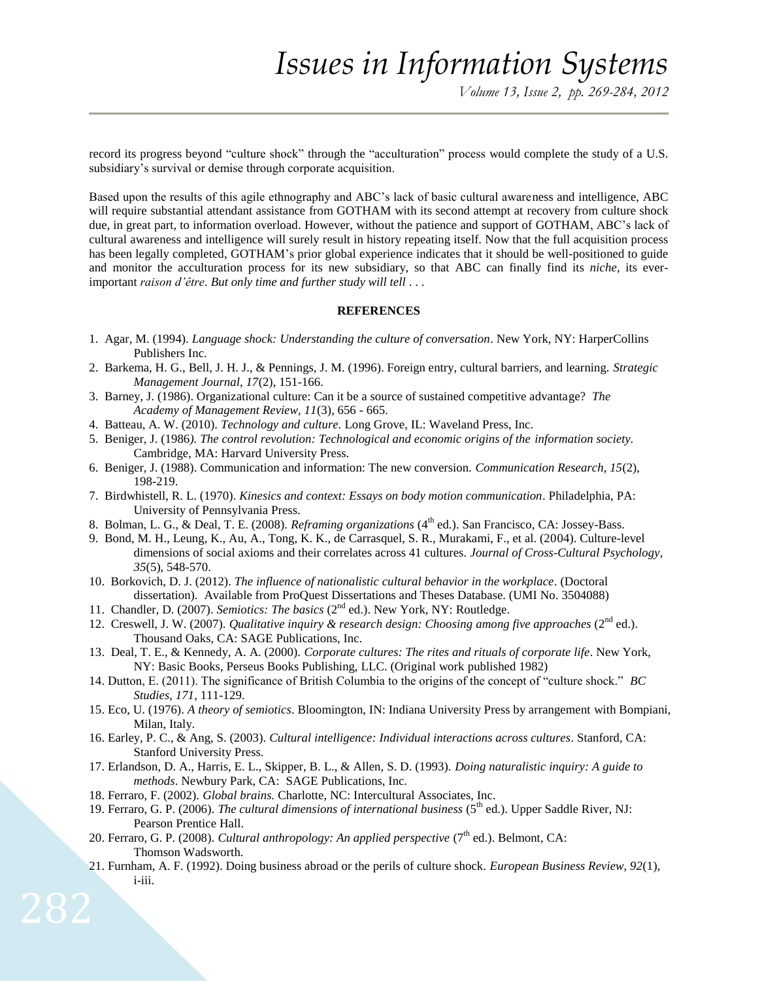record its progress beyond "culture shock" through the "acculturation" process would complete the study of a U.S. subsidiary's survival or demise through corporate acquisition.

Based upon the results of this agile ethnography and ABC's lack of basic cultural awareness and intelligence, ABC will require substantial attendant assistance from GOTHAM with its second attempt at recovery from culture shock due, in great part, to information overload. However, without the patience and support of GOTHAM, ABC's lack of cultural awareness and intelligence will surely result in history repeating itself. Now that the full acquisition process has been legally completed, GOTHAM's prior global experience indicates that it should be well-positioned to guide and monitor the acculturation process for its new subsidiary, so that ABC can finally find its *niche*, its everimportant *raison d'être*. *But only time and further study will tell* . . .

## **REFERENCES**

- 1. Agar, M. (1994). *Language shock: Understanding the culture of conversation*. New York, NY: HarperCollins Publishers Inc.
- 2. Barkema, H. G., Bell, J. H. J., & Pennings, J. M. (1996). Foreign entry, cultural barriers, and learning. *Strategic Management Journal, 17*(2), 151-166.
- 3. Barney, J. (1986). Organizational culture: Can it be a source of sustained competitive advantage? *The Academy of Management Review, 11*(3), 656 - 665.
- 4. Batteau, A. W. (2010). *Technology and culture.* Long Grove, IL: Waveland Press, Inc.
- 5. Beniger, J. (1986*). The control revolution: Technological and economic origins of the information society.* Cambridge, MA: Harvard University Press.
- 6. Beniger, J. (1988). Communication and information: The new conversion. *Communication Research, 15*(2), 198-219.
- 7. Birdwhistell, R. L. (1970). *Kinesics and context: Essays on body motion communication*. Philadelphia, PA: University of Pennsylvania Press.
- 8. Bolman, L. G., & Deal, T. E. (2008). *Reframing organizations* (4<sup>th</sup> ed.). San Francisco, CA: Jossey-Bass.
- 9. Bond, M. H., Leung, K., Au, A., Tong, K. K., de Carrasquel, S. R., Murakami, F., et al. (2004). Culture-level dimensions of social axioms and their correlates across 41 cultures. *Journal of Cross-Cultural Psychology, 35*(5), 548-570.
- 10. Borkovich, D. J. (2012). *The influence of nationalistic cultural behavior in the workplace*. (Doctoral dissertation). Available from ProQuest Dissertations and Theses Database. (UMI No. 3504088)
- 11. Chandler, D. (2007). *Semiotics: The basics* (2nd ed.). New York, NY: Routledge.
- 12. Creswell, J. W. (2007). *Qualitative inquiry & research design: Choosing among five approaches* (2nd ed.). Thousand Oaks, CA: SAGE Publications, Inc.
- 13. Deal, T. E., & Kennedy, A. A. (2000). *Corporate cultures: The rites and rituals of corporate life*. New York, NY: Basic Books, Perseus Books Publishing, LLC. (Original work published 1982)
- 14. Dutton, E. (2011). The significance of British Columbia to the origins of the concept of "culture shock." *BC Studies, 171*, 111-129.
- 15. Eco, U. (1976). *A theory of semiotics*. Bloomington, IN: Indiana University Press by arrangement with Bompiani, Milan, Italy.
- 16. Earley, P. C., & Ang, S. (2003). *Cultural intelligence: Individual interactions across cultures*. Stanford, CA: Stanford University Press.
- 17. Erlandson, D. A., Harris, E. L., Skipper, B. L., & Allen, S. D. (1993). *Doing naturalistic inquiry: A guide to methods*. Newbury Park, CA: SAGE Publications, Inc.
- 18. Ferraro, F. (2002). *Global brains.* Charlotte, NC: Intercultural Associates, Inc.

282

- 19. Ferraro, G. P. (2006). *The cultural dimensions of international business* (5<sup>th</sup> ed.). Upper Saddle River, NJ: Pearson Prentice Hall.
- 20. Ferraro, G. P. (2008). *Cultural anthropology: An applied perspective* (7<sup>th</sup> ed.). Belmont, CA: Thomson Wadsworth.
- 21. Furnham, A. F. (1992). Doing business abroad or the perils of culture shock. *European Business Review, 92*(1), i-iii.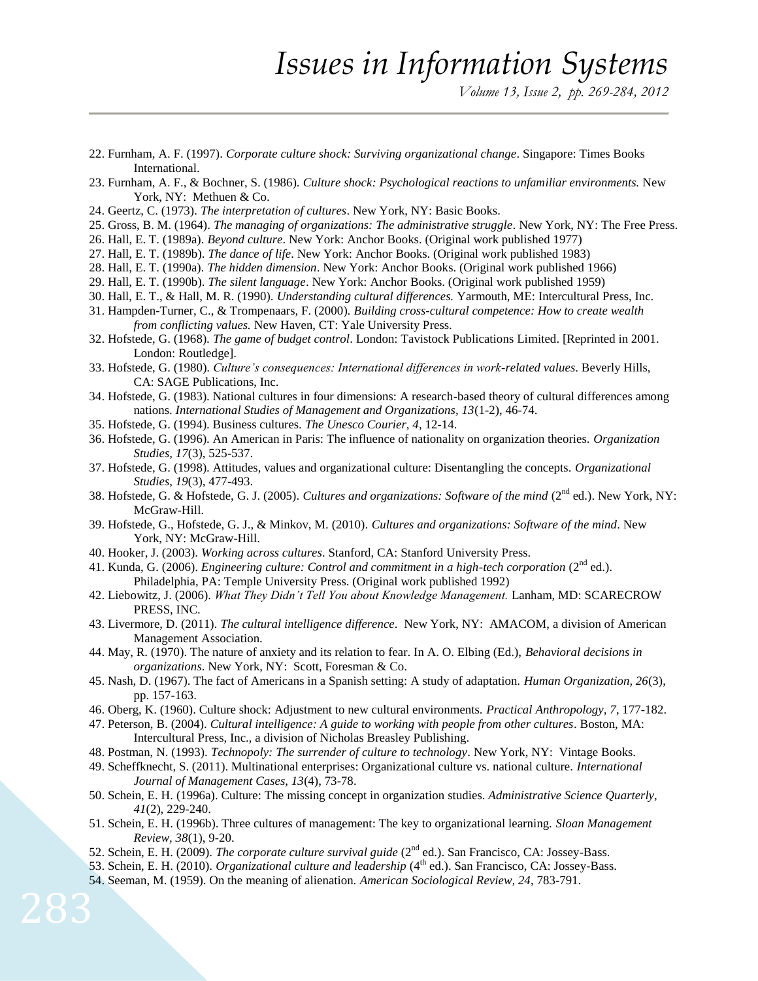- 22. Furnham, A. F. (1997). *Corporate culture shock: Surviving organizational change*. Singapore: Times Books International.
- 23. Furnham, A. F., & Bochner, S. (1986). *Culture shock: Psychological reactions to unfamiliar environments.* New York, NY: Methuen & Co.
- 24. Geertz, C. (1973). *The interpretation of cultures*. New York, NY: Basic Books.
- 25. Gross, B. M. (1964). *The managing of organizations: The administrative struggle*. New York, NY: The Free Press.
- 26. Hall, E. T. (1989a). *Beyond culture*. New York: Anchor Books. (Original work published 1977)
- 27. Hall, E. T. (1989b). *The dance of life*. New York: Anchor Books. (Original work published 1983)
- 28. Hall, E. T. (1990a). *The hidden dimension*. New York: Anchor Books. (Original work published 1966)
- 29. Hall, E. T. (1990b). *The silent language*. New York: Anchor Books. (Original work published 1959)
- 30. Hall, E. T., & Hall, M. R. (1990). *Understanding cultural differences.* Yarmouth, ME: Intercultural Press, Inc.
- 31. Hampden-Turner, C., & Trompenaars, F. (2000). *Building cross-cultural competence: How to create wealth from conflicting values.* New Haven, CT: Yale University Press.
- 32. Hofstede, G. (1968). *The game of budget control*. London: Tavistock Publications Limited. [Reprinted in 2001. London: Routledge].
- 33. Hofstede, G. (1980). *Culture's consequences: International differences in work-related values*. Beverly Hills, CA: SAGE Publications, Inc.
- 34. Hofstede, G. (1983). National cultures in four dimensions: A research-based theory of cultural differences among nations. *International Studies of Management and Organizations, 13*(1-2), 46-74.
- 35. Hofstede, G. (1994). Business cultures. *The Unesco Courier, 4*, 12-14.
- 36. Hofstede, G. (1996). An American in Paris: The influence of nationality on organization theories. *Organization Studies, 17*(3), 525-537.
- 37. Hofstede, G. (1998). Attitudes, values and organizational culture: Disentangling the concepts. *Organizational Studies, 19*(3), 477-493.
- 38. Hofstede, G. & Hofstede, G. J. (2005). *Cultures and organizations: Software of the mind* (2nd ed.). New York, NY: McGraw-Hill.
- 39. Hofstede, G., Hofstede, G. J., & Minkov, M. (2010). *Cultures and organizations: Software of the mind*. New York, NY: McGraw-Hill.
- 40. Hooker, J. (2003). *Working across cultures*. Stanford, CA: Stanford University Press.
- 41. Kunda, G. (2006). *Engineering culture: Control and commitment in a high-tech corporation* (2<sup>nd</sup> ed.). Philadelphia, PA: Temple University Press. (Original work published 1992)
- 42. Liebowitz, J. (2006). *What They Didn't Tell You about Knowledge Management.* Lanham, MD: SCARECROW PRESS, INC.
- 43. Livermore, D. (2011). *The cultural intelligence difference*. New York, NY: AMACOM, a division of American Management Association.
- 44. May, R. (1970). The nature of anxiety and its relation to fear. In A. O. Elbing (Ed.), *Behavioral decisions in organizations*. New York, NY: Scott, Foresman & Co.
- 45. Nash, D. (1967). The fact of Americans in a Spanish setting: A study of adaptation. *Human Organization, 26*(3), pp. 157-163.
- 46. Oberg, K. (1960). Culture shock: Adjustment to new cultural environments. *Practical Anthropology, 7*, 177-182.
- 47. Peterson, B. (2004). *Cultural intelligence: A guide to working with people from other cultures*. Boston, MA: Intercultural Press, Inc., a division of Nicholas Breasley Publishing.
- 48. Postman, N. (1993). *Technopoly: The surrender of culture to technology*. New York, NY: Vintage Books.
- 49. Scheffknecht, S. (2011). Multinational enterprises: Organizational culture vs. national culture. *International Journal of Management Cases, 13*(4), 73-78.
- 50. Schein, E. H. (1996a). Culture: The missing concept in organization studies. *Administrative Science Quarterly, 41*(2), 229-240.
- 51. Schein, E. H. (1996b). Three cultures of management: The key to organizational learning. *Sloan Management Review, 38*(1), 9-20.
- 52. Schein, E. H. (2009). *The corporate culture survival guide* (2nd ed.). San Francisco, CA: Jossey-Bass.
- 53. Schein, E. H. (2010). *Organizational culture and leadership* (4<sup>th</sup> ed.). San Francisco, CA: Jossey-Bass.
- 54. Seeman, M. (1959). On the meaning of alienation. *American Sociological Review, 24*, 783-791.